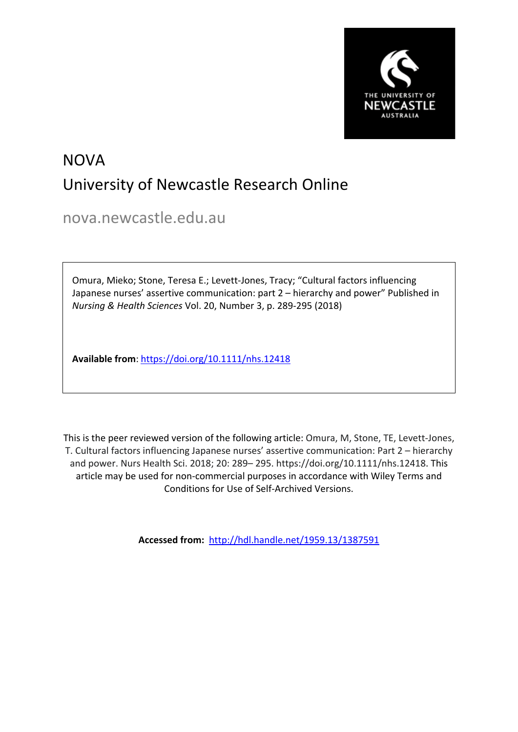

# NOVA University of Newcastle Research Online

nova.newcastle.edu.au

Omura, Mieko; Stone, Teresa E.; Levett-Jones, Tracy; "Cultural factors influencing Japanese nurses' assertive communication: part 2 – hierarchy and power" Published in *Nursing & Health Sciences* Vol. 20, Number 3, p. 289-295 (2018)

**Available from**: <https://doi.org/10.1111/nhs.12418>

This is the peer reviewed version of the following article: Omura, M, Stone, TE, Levett-Jones, T. Cultural factors influencing Japanese nurses' assertive communication: Part 2 – hierarchy and power. Nurs Health Sci. 2018; 20: 289– 295. https://doi.org/10.1111/nhs.12418. This article may be used for non-commercial purposes in accordance with Wiley Terms and Conditions for Use of Self-Archived Versions.

**Accessed from:** <http://hdl.handle.net/1959.13/1387591>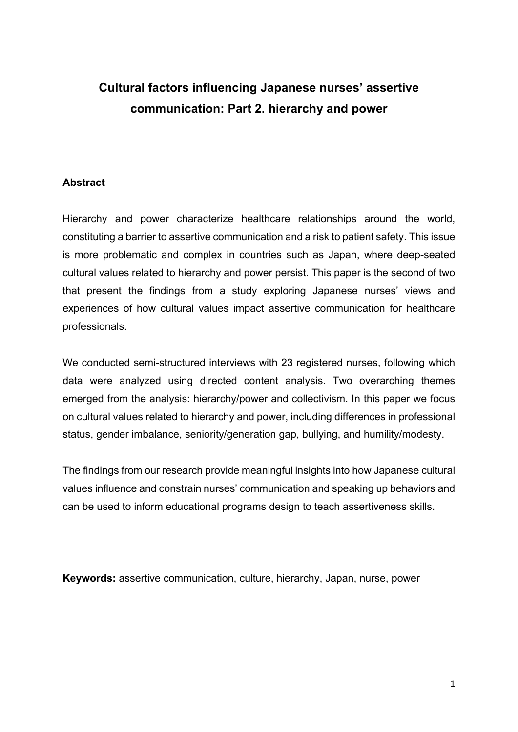# **Cultural factors influencing Japanese nurses' assertive communication: Part 2. hierarchy and power**

# **Abstract**

Hierarchy and power characterize healthcare relationships around the world, constituting a barrier to assertive communication and a risk to patient safety. This issue is more problematic and complex in countries such as Japan, where deep-seated cultural values related to hierarchy and power persist. This paper is the second of two that present the findings from a study exploring Japanese nurses' views and experiences of how cultural values impact assertive communication for healthcare professionals.

We conducted semi-structured interviews with 23 registered nurses, following which data were analyzed using directed content analysis. Two overarching themes emerged from the analysis: hierarchy/power and collectivism. In this paper we focus on cultural values related to hierarchy and power, including differences in professional status, gender imbalance, seniority/generation gap, bullying, and humility/modesty.

The findings from our research provide meaningful insights into how Japanese cultural values influence and constrain nurses' communication and speaking up behaviors and can be used to inform educational programs design to teach assertiveness skills.

**Keywords:** assertive communication, culture, hierarchy, Japan, nurse, power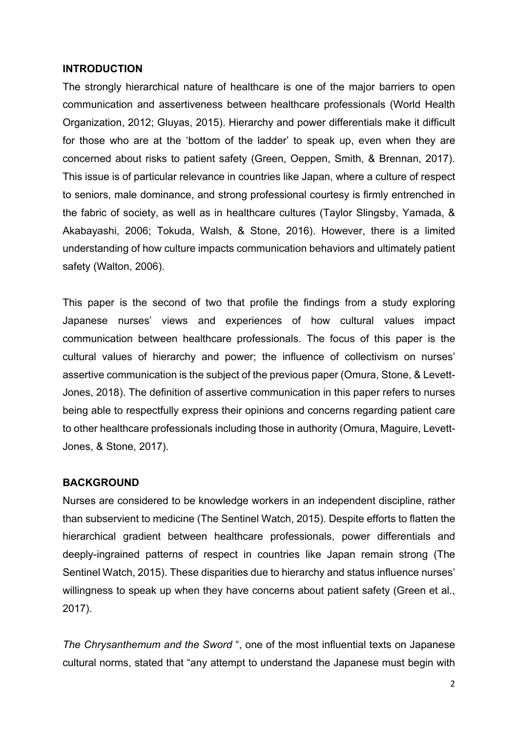#### **INTRODUCTION**

The strongly hierarchical nature of healthcare is one of the major barriers to open communication and assertiveness between healthcare professionals (World Health Organization, 2012; Gluyas, 2015). Hierarchy and power differentials make it difficult for those who are at the 'bottom of the ladder' to speak up, even when they are concerned about risks to patient safety (Green, Oeppen, Smith, & Brennan, 2017). This issue is of particular relevance in countries like Japan, where a culture of respect to seniors, male dominance, and strong professional courtesy is firmly entrenched in the fabric of society, as well as in healthcare cultures (Taylor Slingsby, Yamada, & Akabayashi, 2006; Tokuda, Walsh, & Stone, 2016). However, there is a limited understanding of how culture impacts communication behaviors and ultimately patient safety (Walton, 2006).

This paper is the second of two that profile the findings from a study exploring Japanese nurses' views and experiences of how cultural values impact communication between healthcare professionals. The focus of this paper is the cultural values of hierarchy and power; the influence of collectivism on nurses' assertive communication is the subject of the previous paper (Omura, Stone, & Levett-Jones, 2018). The definition of assertive communication in this paper refers to nurses being able to respectfully express their opinions and concerns regarding patient care to other healthcare professionals including those in authority (Omura, Maguire, Levett-Jones, & Stone, 2017).

#### **BACKGROUND**

Nurses are considered to be knowledge workers in an independent discipline, rather than subservient to medicine (The Sentinel Watch, 2015). Despite efforts to flatten the hierarchical gradient between healthcare professionals, power differentials and deeply-ingrained patterns of respect in countries like Japan remain strong (The Sentinel Watch, 2015). These disparities due to hierarchy and status influence nurses' willingness to speak up when they have concerns about patient safety (Green et al., 2017).

*The Chrysanthemum and the Sword* ", one of the most influential texts on Japanese cultural norms, stated that "any attempt to understand the Japanese must begin with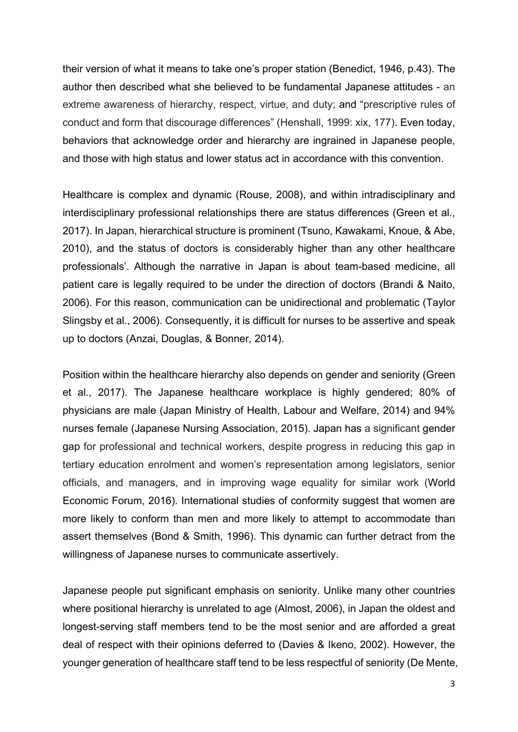their version of what it means to take one's proper station (Benedict, 1946, p.43). The author then described what she believed to be fundamental Japanese attitudes - an extreme awareness of hierarchy, respect, virtue, and duty; and "prescriptive rules of conduct and form that discourage differences" (Henshall, 1999: xix, 177). Even today, behaviors that acknowledge order and hierarchy are ingrained in Japanese people, and those with high status and lower status act in accordance with this convention.

Healthcare is complex and dynamic (Rouse, 2008), and within intradisciplinary and interdisciplinary professional relationships there are status differences (Green et al., 2017). In Japan, hierarchical structure is prominent (Tsuno, Kawakami, Knoue, & Abe, 2010), and the status of doctors is considerably higher than any other healthcare professionals'. Although the narrative in Japan is about team-based medicine, all patient care is legally required to be under the direction of doctors (Brandi & Naito, 2006). For this reason, communication can be unidirectional and problematic (Taylor Slingsby et al., 2006). Consequently, it is difficult for nurses to be assertive and speak up to doctors (Anzai, Douglas, & Bonner, 2014).

Position within the healthcare hierarchy also depends on gender and seniority (Green et al., 2017). The Japanese healthcare workplace is highly gendered; 80% of physicians are male (Japan Ministry of Health, Labour and Welfare, 2014) and 94% nurses female (Japanese Nursing Association, 2015). Japan has a significant gender gap for professional and technical workers, despite progress in reducing this gap in tertiary education enrolment and women's representation among legislators, senior officials, and managers, and in improving wage equality for similar work (World Economic Forum, 2016). International studies of conformity suggest that women are more likely to conform than men and more likely to attempt to accommodate than assert themselves (Bond & Smith, 1996). This dynamic can further detract from the willingness of Japanese nurses to communicate assertively.

Japanese people put significant emphasis on seniority. Unlike many other countries where positional hierarchy is unrelated to age (Almost, 2006), in Japan the oldest and longest-serving staff members tend to be the most senior and are afforded a great deal of respect with their opinions deferred to (Davies & Ikeno, 2002). However, the younger generation of healthcare staff tend to be less respectful of seniority (De Mente,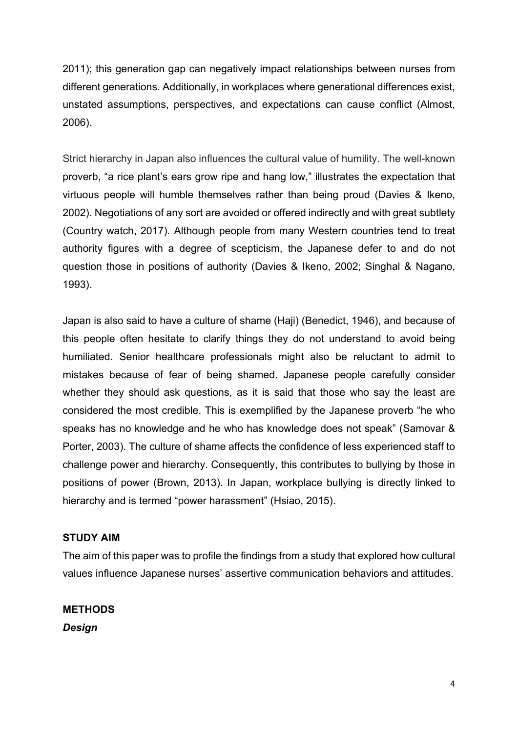2011); this generation gap can negatively impact relationships between nurses from different generations. Additionally, in workplaces where generational differences exist, unstated assumptions, perspectives, and expectations can cause conflict (Almost, 2006).

Strict hierarchy in Japan also influences the cultural value of humility. The well-known proverb, "a rice plant's ears grow ripe and hang low," illustrates the expectation that virtuous people will humble themselves rather than being proud (Davies & Ikeno, 2002). Negotiations of any sort are avoided or offered indirectly and with great subtlety (Country watch, 2017). Although people from many Western countries tend to treat authority figures with a degree of scepticism, the Japanese defer to and do not question those in positions of authority (Davies & Ikeno, 2002; Singhal & Nagano, 1993).

Japan is also said to have a culture of shame (Haji) (Benedict, 1946), and because of this people often hesitate to clarify things they do not understand to avoid being humiliated. Senior healthcare professionals might also be reluctant to admit to mistakes because of fear of being shamed. Japanese people carefully consider whether they should ask questions, as it is said that those who say the least are considered the most credible. This is exemplified by the Japanese proverb "he who speaks has no knowledge and he who has knowledge does not speak" (Samovar & Porter, 2003). The culture of shame affects the confidence of less experienced staff to challenge power and hierarchy. Consequently, this contributes to bullying by those in positions of power (Brown, 2013). In Japan, workplace bullying is directly linked to hierarchy and is termed "power harassment" (Hsiao, 2015).

# **STUDY AIM**

The aim of this paper was to profile the findings from a study that explored how cultural values influence Japanese nurses' assertive communication behaviors and attitudes.

**METHODS** *Design*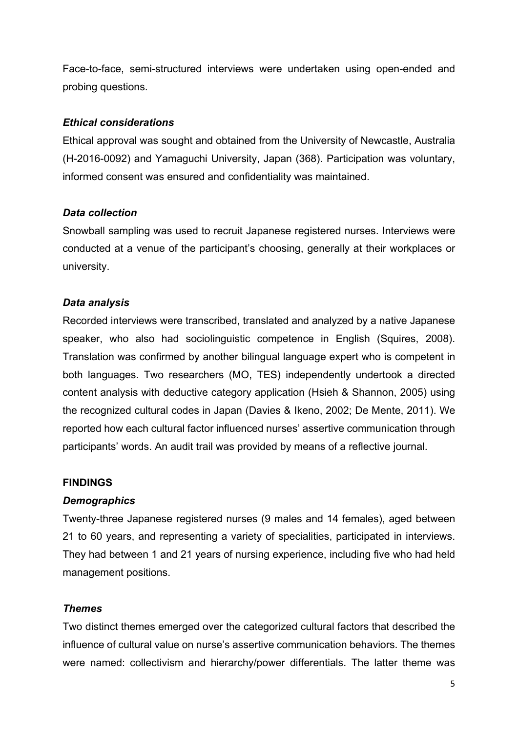Face-to-face, semi-structured interviews were undertaken using open-ended and probing questions.

#### *Ethical considerations*

Ethical approval was sought and obtained from the University of Newcastle, Australia (H-2016-0092) and Yamaguchi University, Japan (368). Participation was voluntary, informed consent was ensured and confidentiality was maintained.

#### *Data collection*

Snowball sampling was used to recruit Japanese registered nurses. Interviews were conducted at a venue of the participant's choosing, generally at their workplaces or university.

# *Data analysis*

Recorded interviews were transcribed, translated and analyzed by a native Japanese speaker, who also had sociolinguistic competence in English (Squires, 2008). Translation was confirmed by another bilingual language expert who is competent in both languages. Two researchers (MO, TES) independently undertook a directed content analysis with deductive category application (Hsieh & Shannon, 2005) using the recognized cultural codes in Japan (Davies & Ikeno, 2002; De Mente, 2011). We reported how each cultural factor influenced nurses' assertive communication through participants' words. An audit trail was provided by means of a reflective journal.

#### **FINDINGS**

# *Demographics*

Twenty-three Japanese registered nurses (9 males and 14 females), aged between 21 to 60 years, and representing a variety of specialities, participated in interviews. They had between 1 and 21 years of nursing experience, including five who had held management positions.

# *Themes*

Two distinct themes emerged over the categorized cultural factors that described the influence of cultural value on nurse's assertive communication behaviors. The themes were named: collectivism and hierarchy/power differentials. The latter theme was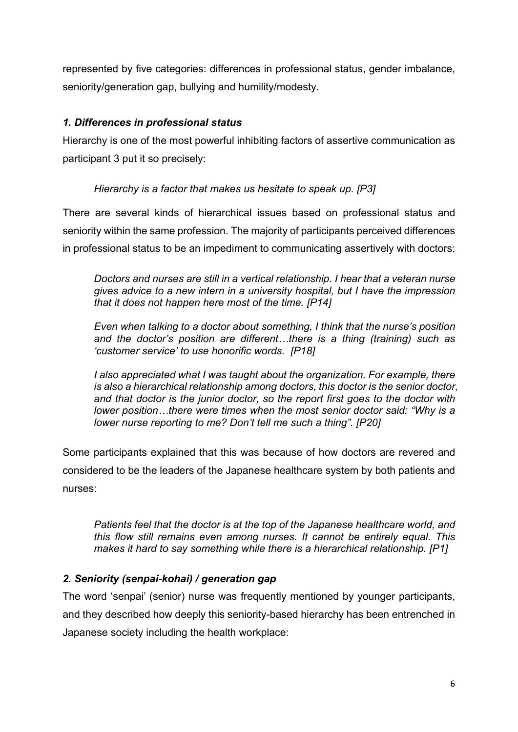represented by five categories: differences in professional status, gender imbalance, seniority/generation gap, bullying and humility/modesty.

# *1. Differences in professional status*

Hierarchy is one of the most powerful inhibiting factors of assertive communication as participant 3 put it so precisely:

# *Hierarchy is a factor that makes us hesitate to speak up. [P3]*

There are several kinds of hierarchical issues based on professional status and seniority within the same profession. The majority of participants perceived differences in professional status to be an impediment to communicating assertively with doctors:

*Doctors and nurses are still in a vertical relationship. I hear that a veteran nurse gives advice to a new intern in a university hospital, but I have the impression that it does not happen here most of the time. [P14]*

*Even when talking to a doctor about something, I think that the nurse's position and the doctor's position are different…there is a thing (training) such as 'customer service' to use honorific words. [P18]*

*I also appreciated what I was taught about the organization. For example, there is also a hierarchical relationship among doctors, this doctor is the senior doctor, and that doctor is the junior doctor, so the report first goes to the doctor with lower position…there were times when the most senior doctor said: "Why is a lower nurse reporting to me? Don't tell me such a thing". [P20]*

Some participants explained that this was because of how doctors are revered and considered to be the leaders of the Japanese healthcare system by both patients and nurses:

*Patients feel that the doctor is at the top of the Japanese healthcare world, and this flow still remains even among nurses. It cannot be entirely equal. This makes it hard to say something while there is a hierarchical relationship. [P1]*

# *2. Seniority (senpai-kohai) / generation gap*

The word 'senpai' (senior) nurse was frequently mentioned by younger participants, and they described how deeply this seniority-based hierarchy has been entrenched in Japanese society including the health workplace: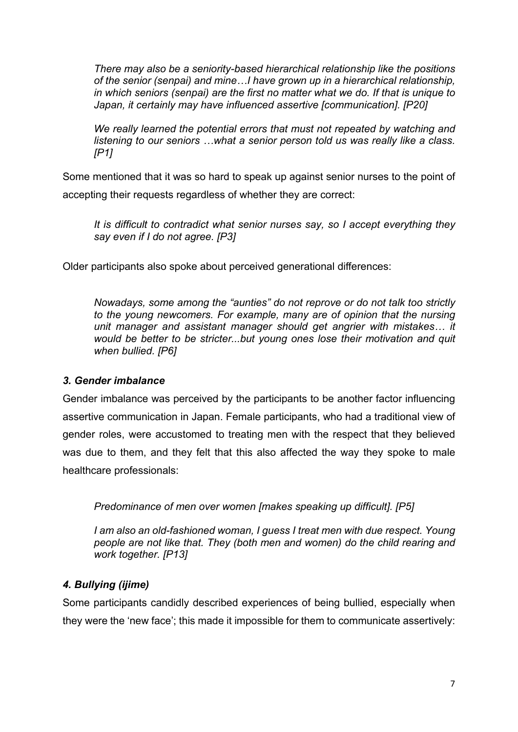*There may also be a seniority-based hierarchical relationship like the positions of the senior (senpai) and mine…I have grown up in a hierarchical relationship, in which seniors (senpai) are the first no matter what we do. If that is unique to Japan, it certainly may have influenced assertive [communication]. [P20]*

*We really learned the potential errors that must not repeated by watching and listening to our seniors …what a senior person told us was really like a class. [P1]*

Some mentioned that it was so hard to speak up against senior nurses to the point of accepting their requests regardless of whether they are correct:

*It is difficult to contradict what senior nurses say, so I accept everything they say even if I do not agree. [P3]*

Older participants also spoke about perceived generational differences:

*Nowadays, some among the "aunties" do not reprove or do not talk too strictly to the young newcomers. For example, many are of opinion that the nursing unit manager and assistant manager should get angrier with mistakes… it would be better to be stricter...but young ones lose their motivation and quit when bullied. [P6]*

# *3. Gender imbalance*

Gender imbalance was perceived by the participants to be another factor influencing assertive communication in Japan. Female participants, who had a traditional view of gender roles, were accustomed to treating men with the respect that they believed was due to them, and they felt that this also affected the way they spoke to male healthcare professionals:

*Predominance of men over women [makes speaking up difficult]. [P5]*

*I am also an old-fashioned woman, I guess I treat men with due respect. Young people are not like that. They (both men and women) do the child rearing and work together. [P13]*

# *4. Bullying (ijime)*

Some participants candidly described experiences of being bullied, especially when they were the 'new face'; this made it impossible for them to communicate assertively: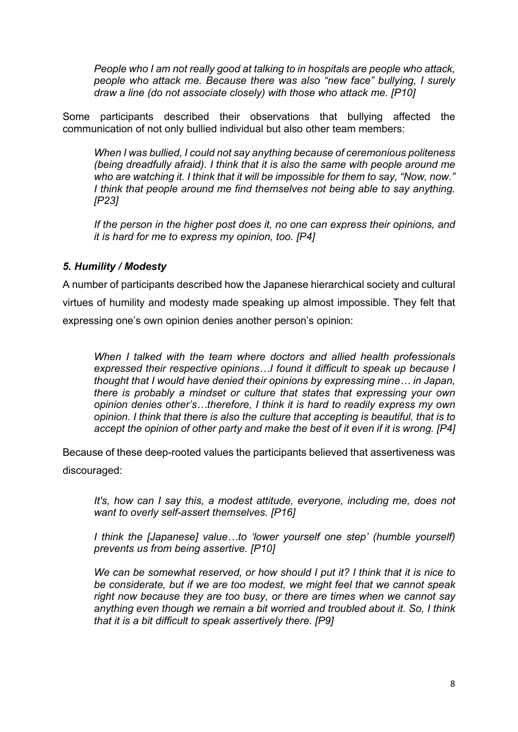*People who I am not really good at talking to in hospitals are people who attack, people who attack me. Because there was also "new face" bullying, I surely draw a line (do not associate closely) with those who attack me. [P10]*

Some participants described their observations that bullying affected the communication of not only bullied individual but also other team members:

*When I was bullied, I could not say anything because of ceremonious politeness (being dreadfully afraid). I think that it is also the same with people around me who are watching it. I think that it will be impossible for them to say, "Now, now." I think that people around me find themselves not being able to say anything. [P23]*

*If the person in the higher post does it, no one can express their opinions, and it is hard for me to express my opinion, too. [P4]*

#### *5. Humility / Modesty*

A number of participants described how the Japanese hierarchical society and cultural virtues of humility and modesty made speaking up almost impossible. They felt that expressing one's own opinion denies another person's opinion:

*When I talked with the team where doctors and allied health professionals expressed their respective opinions…I found it difficult to speak up because I thought that I would have denied their opinions by expressing mine… in Japan, there is probably a mindset or culture that states that expressing your own opinion denies other's…therefore, I think it is hard to readily express my own opinion. I think that there is also the culture that accepting is beautiful, that is to accept the opinion of other party and make the best of it even if it is wrong. [P4]*

Because of these deep-rooted values the participants believed that assertiveness was discouraged:

*It's, how can I say this, a modest attitude, everyone, including me, does not want to overly self-assert themselves. [P16]*

*I think the [Japanese] value…to 'lower yourself one step' (humble yourself) prevents us from being assertive. [P10]*

*We can be somewhat reserved, or how should I put it? I think that it is nice to be considerate, but if we are too modest, we might feel that we cannot speak right now because they are too busy, or there are times when we cannot say anything even though we remain a bit worried and troubled about it. So, I think that it is a bit difficult to speak assertively there. [P9]*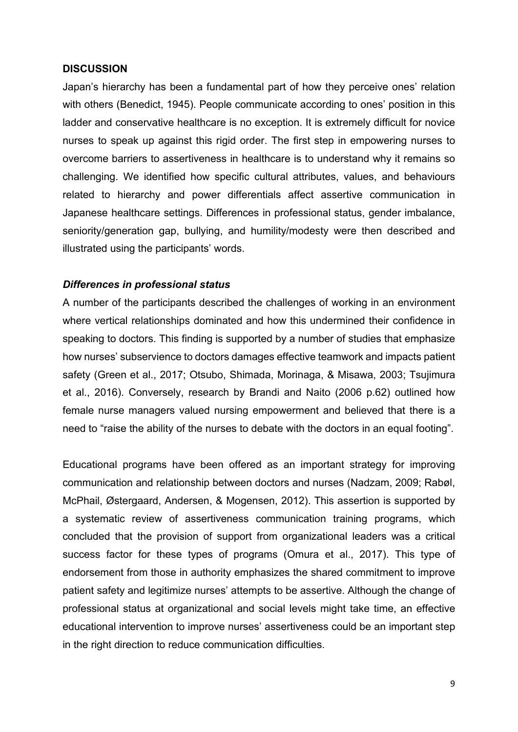#### **DISCUSSION**

Japan's hierarchy has been a fundamental part of how they perceive ones' relation with others (Benedict, 1945). People communicate according to ones' position in this ladder and conservative healthcare is no exception. It is extremely difficult for novice nurses to speak up against this rigid order. The first step in empowering nurses to overcome barriers to assertiveness in healthcare is to understand why it remains so challenging. We identified how specific cultural attributes, values, and behaviours related to hierarchy and power differentials affect assertive communication in Japanese healthcare settings. Differences in professional status, gender imbalance, seniority/generation gap, bullying, and humility/modesty were then described and illustrated using the participants' words.

#### *Differences in professional status*

A number of the participants described the challenges of working in an environment where vertical relationships dominated and how this undermined their confidence in speaking to doctors. This finding is supported by a number of studies that emphasize how nurses' subservience to doctors damages effective teamwork and impacts patient safety (Green et al., 2017; Otsubo, Shimada, Morinaga, & Misawa, 2003; Tsujimura et al., 2016). Conversely, research by Brandi and Naito (2006 p.62) outlined how female nurse managers valued nursing empowerment and believed that there is a need to "raise the ability of the nurses to debate with the doctors in an equal footing".

Educational programs have been offered as an important strategy for improving communication and relationship between doctors and nurses (Nadzam, 2009; Rabøl, McPhail, Østergaard, Andersen, & Mogensen, 2012). This assertion is supported by a systematic review of assertiveness communication training programs, which concluded that the provision of support from organizational leaders was a critical success factor for these types of programs (Omura et al., 2017). This type of endorsement from those in authority emphasizes the shared commitment to improve patient safety and legitimize nurses' attempts to be assertive. Although the change of professional status at organizational and social levels might take time, an effective educational intervention to improve nurses' assertiveness could be an important step in the right direction to reduce communication difficulties.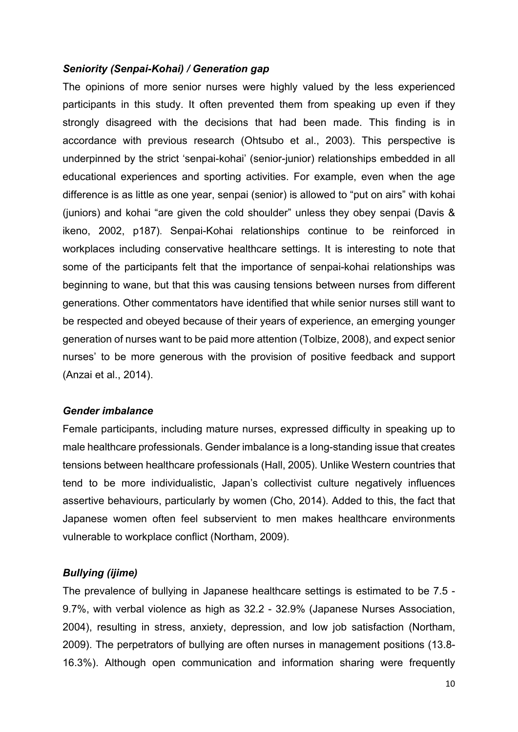#### *Seniority (Senpai-Kohai) / Generation gap*

The opinions of more senior nurses were highly valued by the less experienced participants in this study. It often prevented them from speaking up even if they strongly disagreed with the decisions that had been made. This finding is in accordance with previous research (Ohtsubo et al., 2003). This perspective is underpinned by the strict 'senpai-kohai' (senior-junior) relationships embedded in all educational experiences and sporting activities. For example, even when the age difference is as little as one year, senpai (senior) is allowed to "put on airs" with kohai (juniors) and kohai "are given the cold shoulder" unless they obey senpai (Davis & ikeno, 2002, p187). Senpai-Kohai relationships continue to be reinforced in workplaces including conservative healthcare settings. It is interesting to note that some of the participants felt that the importance of senpai-kohai relationships was beginning to wane, but that this was causing tensions between nurses from different generations. Other commentators have identified that while senior nurses still want to be respected and obeyed because of their years of experience, an emerging younger generation of nurses want to be paid more attention (Tolbize, 2008), and expect senior nurses' to be more generous with the provision of positive feedback and support (Anzai et al., 2014).

#### *Gender imbalance*

Female participants, including mature nurses, expressed difficulty in speaking up to male healthcare professionals. Gender imbalance is a long-standing issue that creates tensions between healthcare professionals (Hall, 2005). Unlike Western countries that tend to be more individualistic, Japan's collectivist culture negatively influences assertive behaviours, particularly by women (Cho, 2014). Added to this, the fact that Japanese women often feel subservient to men makes healthcare environments vulnerable to workplace conflict (Northam, 2009).

#### *Bullying (ijime)*

The prevalence of bullying in Japanese healthcare settings is estimated to be 7.5 - 9.7%, with verbal violence as high as 32.2 - 32.9% (Japanese Nurses Association, 2004), resulting in stress, anxiety, depression, and low job satisfaction (Northam, 2009). The perpetrators of bullying are often nurses in management positions (13.8- 16.3%). Although open communication and information sharing were frequently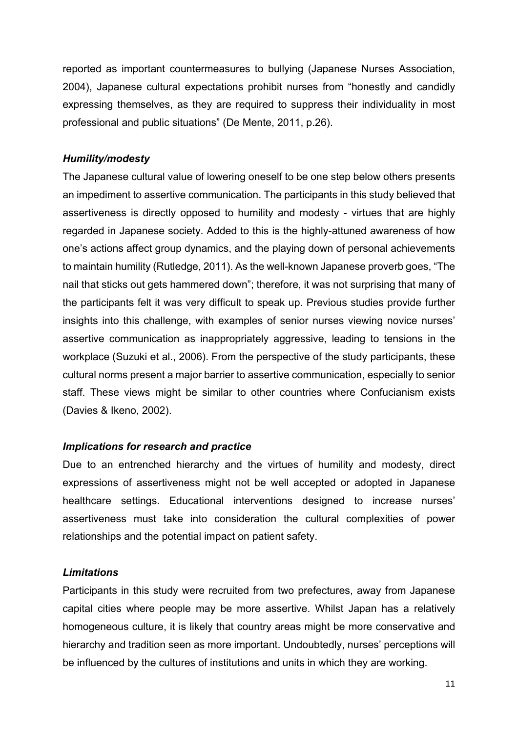reported as important countermeasures to bullying (Japanese Nurses Association, 2004), Japanese cultural expectations prohibit nurses from "honestly and candidly expressing themselves, as they are required to suppress their individuality in most professional and public situations" (De Mente, 2011, p.26).

#### *Humility/modesty*

The Japanese cultural value of lowering oneself to be one step below others presents an impediment to assertive communication. The participants in this study believed that assertiveness is directly opposed to humility and modesty - virtues that are highly regarded in Japanese society. Added to this is the highly-attuned awareness of how one's actions affect group dynamics, and the playing down of personal achievements to maintain humility (Rutledge, 2011). As the well-known Japanese proverb goes, "The nail that sticks out gets hammered down"; therefore, it was not surprising that many of the participants felt it was very difficult to speak up. Previous studies provide further insights into this challenge, with examples of senior nurses viewing novice nurses' assertive communication as inappropriately aggressive, leading to tensions in the workplace (Suzuki et al., 2006). From the perspective of the study participants, these cultural norms present a major barrier to assertive communication, especially to senior staff. These views might be similar to other countries where Confucianism exists (Davies & Ikeno, 2002).

#### *Implications for research and practice*

Due to an entrenched hierarchy and the virtues of humility and modesty, direct expressions of assertiveness might not be well accepted or adopted in Japanese healthcare settings. Educational interventions designed to increase nurses' assertiveness must take into consideration the cultural complexities of power relationships and the potential impact on patient safety.

#### *Limitations*

Participants in this study were recruited from two prefectures, away from Japanese capital cities where people may be more assertive. Whilst Japan has a relatively homogeneous culture, it is likely that country areas might be more conservative and hierarchy and tradition seen as more important. Undoubtedly, nurses' perceptions will be influenced by the cultures of institutions and units in which they are working.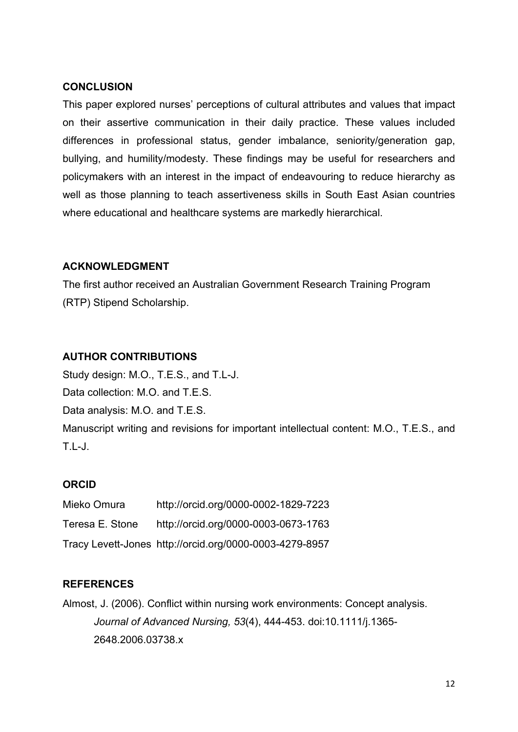#### **CONCLUSION**

This paper explored nurses' perceptions of cultural attributes and values that impact on their assertive communication in their daily practice. These values included differences in professional status, gender imbalance, seniority/generation gap, bullying, and humility/modesty. These findings may be useful for researchers and policymakers with an interest in the impact of endeavouring to reduce hierarchy as well as those planning to teach assertiveness skills in South East Asian countries where educational and healthcare systems are markedly hierarchical.

# **ACKNOWLEDGMENT**

The first author received an Australian Government Research Training Program (RTP) Stipend Scholarship.

# **AUTHOR CONTRIBUTIONS**

Study design: M.O., T.E.S., and T.L-J. Data collection: M.O. and T.E.S. Data analysis: M.O. and T.E.S. Manuscript writing and revisions for important intellectual content: M.O., T.E.S., and T.L-J.

# **ORCID**

| Mieko Omura     | http://orcid.org/0000-0002-1829-7223                    |
|-----------------|---------------------------------------------------------|
| Teresa E. Stone | http://orcid.org/0000-0003-0673-1763                    |
|                 | Tracy Levett-Jones http://orcid.org/0000-0003-4279-8957 |

# **REFERENCES**

Almost, J. (2006). Conflict within nursing work environments: Concept analysis. *Journal of Advanced Nursing, 53*(4), 444-453. doi[:10.1111/j.1365-](https://doi.org/10.1111/j.1365-2648.2006.03738.x) [2648.2006.03738.x](https://doi.org/10.1111/j.1365-2648.2006.03738.x)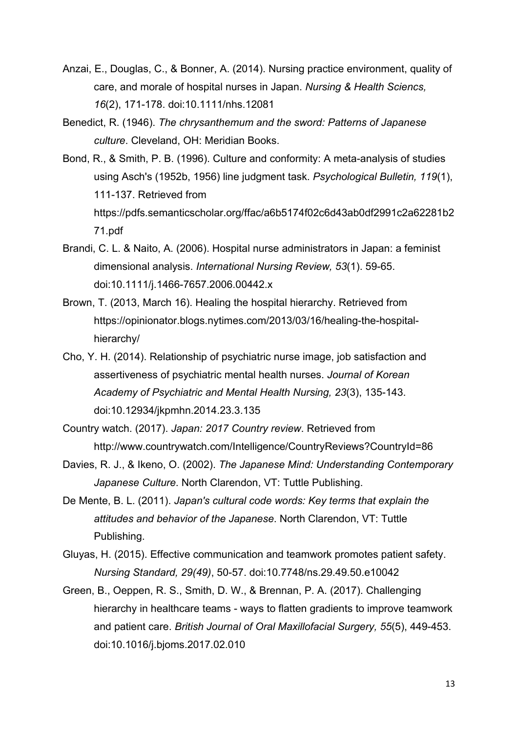- Anzai, E., Douglas, C., & Bonner, A. (2014). Nursing practice environment, quality of care, and morale of hospital nurses in Japan. *Nursing & Health Sciencs, 16*(2), 171-178. doi:10.1111/nhs.12081
- Benedict, R. (1946). *The chrysanthemum and the sword: Patterns of Japanese culture*. Cleveland, OH: Meridian Books.
- Bond, R., & Smith, P. B. (1996). Culture and conformity: A meta-analysis of studies using Asch's (1952b, 1956) line judgment task. *Psychological Bulletin, 119*(1), 111-137. Retrieved from https://pdfs.semanticscholar.org/ffac/a6b5174f02c6d43ab0df2991c2a62281b2 71.pdf
- Brandi, C. L. & Naito, A. (2006). Hospital nurse administrators in Japan: a feminist dimensional analysis. *International Nursing Review, 53*(1). 59-65. doi:10.1111/j.1466-7657.2006.00442.x
- Brown, T. (2013, March 16). Healing the hospital hierarchy. Retrieved from https://opinionator.blogs.nytimes.com/2013/03/16/healing-the-hospitalhierarchy/
- Cho, Y. H. (2014). Relationship of psychiatric nurse image, job satisfaction and assertiveness of psychiatric mental health nurses. *Journal of Korean Academy of Psychiatric and Mental Health Nursing, 23*(3), 135-143. [doi:10.12934/jkpmhn.2014.23.3.135](https://doi.org/10.12934/jkpmhn.2014.23.3.135)
- Country watch. (2017). *Japan: 2017 Country review*. Retrieved from http://www.countrywatch.com/Intelligence/CountryReviews?CountryId=86
- Davies, R. J., & Ikeno, O. (2002). *The Japanese Mind: Understanding Contemporary Japanese Culture*. North Clarendon, VT: Tuttle Publishing.
- De Mente, B. L. (2011). *Japan's cultural code words: Key terms that explain the attitudes and behavior of the Japanese*. North Clarendon, VT: Tuttle Publishing.
- Gluyas, H. (2015). Effective communication and teamwork promotes patient safety. *Nursing Standard, 29(49)*, 50-57. doi:10.7748/ns.29.49.50.e10042
- Green, B., Oeppen, R. S., Smith, D. W., & Brennan, P. A. (2017). Challenging hierarchy in healthcare teams - ways to flatten gradients to improve teamwork and patient care. *British Journal of Oral Maxillofacial Surgery, 55*(5), 449-453. doi:10.1016/j.bjoms.2017.02.010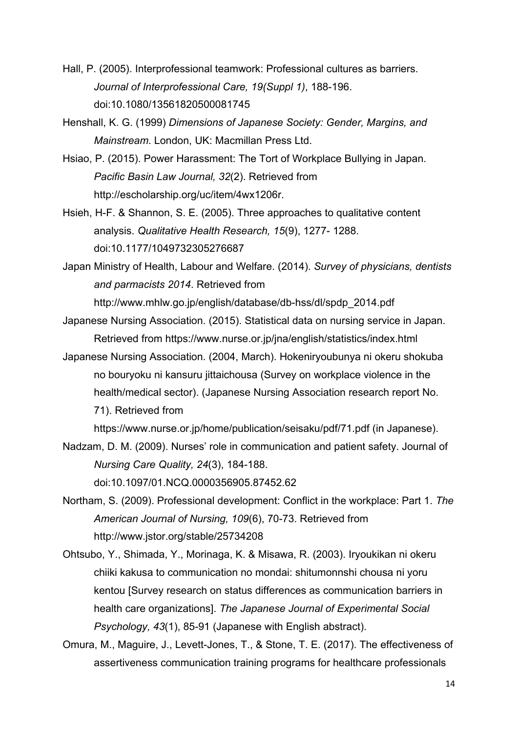- Hall, P. (2005). Interprofessional teamwork: Professional cultures as barriers. *Journal of Interprofessional Care, 19(Suppl 1)*, 188-196. doi:10.1080/13561820500081745
- Henshall, K. G. (1999) *Dimensions of Japanese Society: Gender, Margins, and Mainstream*. London, UK: Macmillan Press Ltd.
- Hsiao, P. (2015). Power Harassment: The Tort of Workplace Bullying in Japan. *Pacific Basin Law Journal, 32*(2). Retrieved from http://escholarship.org/uc/item/4wx1206r.
- Hsieh, H-F. & Shannon, S. E. (2005). Three approaches to qualitative content analysis. *Qualitative Health Research, 15*(9), 1277- 1288. doi:10.1177/1049732305276687
- Japan Ministry of Health, Labour and Welfare. (2014). *Survey of physicians, dentists and parmacists 2014*. Retrieved from

[http://www.mhlw.go.jp/english/database/db-hss/dl/spdp\\_2014.pdf](http://www.mhlw.go.jp/english/database/db-hss/dl/spdp_2014.pdf)

- Japanese Nursing Association. (2015). Statistical data on nursing service in Japan. Retrieved from https://www.nurse.or.jp/jna/english/statistics/index.html
- Japanese Nursing Association. (2004, March). Hokeniryoubunya ni okeru shokuba no bouryoku ni kansuru jittaichousa (Survey on workplace violence in the health/medical sector). (Japanese Nursing Association research report No. 71). Retrieved from

https://www.nurse.or.jp/home/publication/seisaku/pdf/71.pdf (in Japanese).

Nadzam, D. M. (2009). Nurses' role in communication and patient safety. Journal of *Nursing Care Quality, 24*(3), 184-188.

doi:10.1097/01.NCQ.0000356905.87452.62

- Northam, S. (2009). Professional development: Conflict in the workplace: Part 1. *The American Journal of Nursing, 109*(6), 70-73. Retrieved from http://www.jstor.org/stable/25734208
- Ohtsubo, Y., Shimada, Y., Morinaga, K. & Misawa, R. (2003). Iryoukikan ni okeru chiiki kakusa to communication no mondai: shitumonnshi chousa ni yoru kentou [Survey research on status differences as communication barriers in health care organizations]. *The Japanese Journal of Experimental Social Psychology, 43*(1), 85-91 (Japanese with English abstract).
- Omura, M., Maguire, J., Levett-Jones, T., & Stone, T. E. (2017). The effectiveness of assertiveness communication training programs for healthcare professionals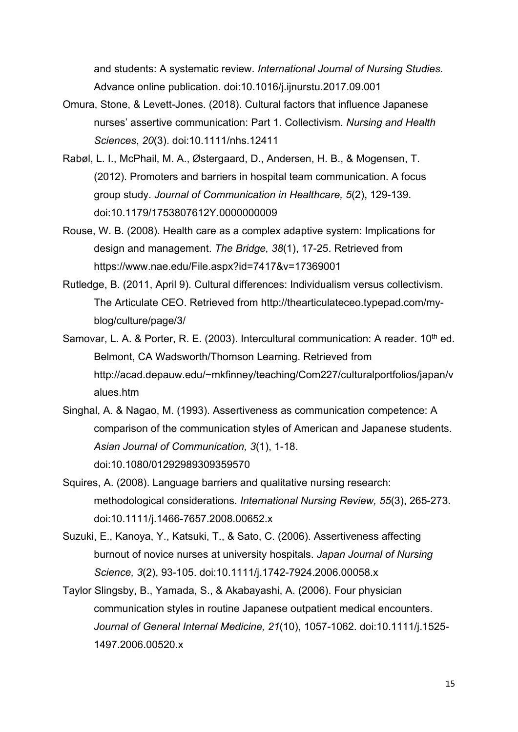and students: A systematic review. *International Journal of Nursing Studies*. Advance online publication. doi:10.1016/j.ijnurstu.2017.09.001

- Omura, Stone, & Levett-Jones. (2018). Cultural factors that influence Japanese nurses' assertive communication: Part 1. Collectivism. *Nursing and Health Sciences*, *20*(3). doi:10.1111/nhs.12411
- Rabøl, L. I., McPhail, M. A., Østergaard, D., Andersen, H. B., & Mogensen, T. (2012). Promoters and barriers in hospital team communication. A focus group study. *Journal of Communication in Healthcare, 5*(2), 129-139. doi:10.1179/1753807612Y.0000000009
- Rouse, W. B. (2008). Health care as a complex adaptive system: Implications for design and management. *The Bridge, 38*(1), 17-25. Retrieved from https://www.nae.edu/File.aspx?id=7417&v=17369001
- Rutledge, B. (2011, April 9). Cultural differences: Individualism versus collectivism. The Articulate CEO. Retrieved from http://thearticulateceo.typepad.com/myblog/culture/page/3/
- Samovar, L. A. & Porter, R. E. (2003). Intercultural communication: A reader.  $10<sup>th</sup>$  ed. Belmont, CA Wadsworth/Thomson Learning. Retrieved from http://acad.depauw.edu/~mkfinney/teaching/Com227/culturalportfolios/japan/v alues.htm
- Singhal, A. & Nagao, M. (1993). Assertiveness as communication competence: A comparison of the communication styles of American and Japanese students. *Asian Journal of Communication, 3*(1), 1-18. [doi:10.1080/01292989309359570](http://dx.doi.org/10.1080/01292989309359570)
- Squires, A. (2008). Language barriers and qualitative nursing research: methodological considerations. *International Nursing Review, 55*(3), 265-273. doi:10.1111/j.1466-7657.2008.00652.x
- Suzuki, E., Kanoya, Y., Katsuki, T., & Sato, C. (2006). Assertiveness affecting burnout of novice nurses at university hospitals. *Japan Journal of Nursing Science, 3*(2), 93-105. doi:10.1111/j.1742-7924.2006.00058.x
- Taylor Slingsby, B., Yamada, S., & Akabayashi, A. (2006). Four physician communication styles in routine Japanese outpatient medical encounters. *Journal of General Internal Medicine, 21*(10), 1057-1062. doi:10.1111/j.1525- 1497.2006.00520.x